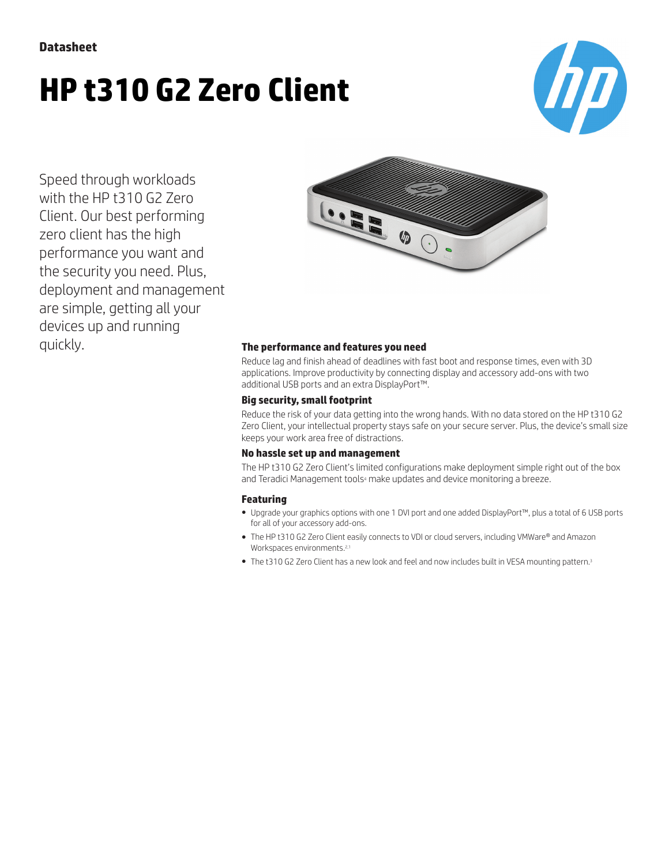# **HP t310 G2 Zero Client**



Speed through workloads with the HP t310 G2 Zero Client. Our best performing zero client has the high performance you want and the security you need. Plus, deployment and management are simple, getting all your devices up and running quickly. **The performance and features you need**



Reduce lag and finish ahead of deadlines with fast boot and response times, even with 3D applications. Improve productivity by connecting display and accessory add-ons with two additional USB ports and an extra DisplayPort™.

#### **Big security, small footprint**

Reduce the risk of your data getting into the wrong hands. With no data stored on the HP t310 G2 Zero Client, your intellectual property stays safe on your secure server. Plus, the device's small size keeps your work area free of distractions.

#### **No hassle set up and management**

The HP t310 G2 Zero Client's limited configurations make deployment simple right out of the box and Teradici Management tools<sup>4</sup> make updates and device monitoring a breeze.

### **Featuring**

- Upgrade your graphics options with one 1 DVI port and one added DisplayPort™, plus a total of 6 USB ports for all of your accessory add-ons.
- The HP t310 G2 Zero Client easily connects to VDI or cloud servers, including VMWare® and Amazon Workspaces environments.<sup>2,1</sup>
- The t310 G2 Zero Client has a new look and feel and now includes built in VESA mounting pattern.3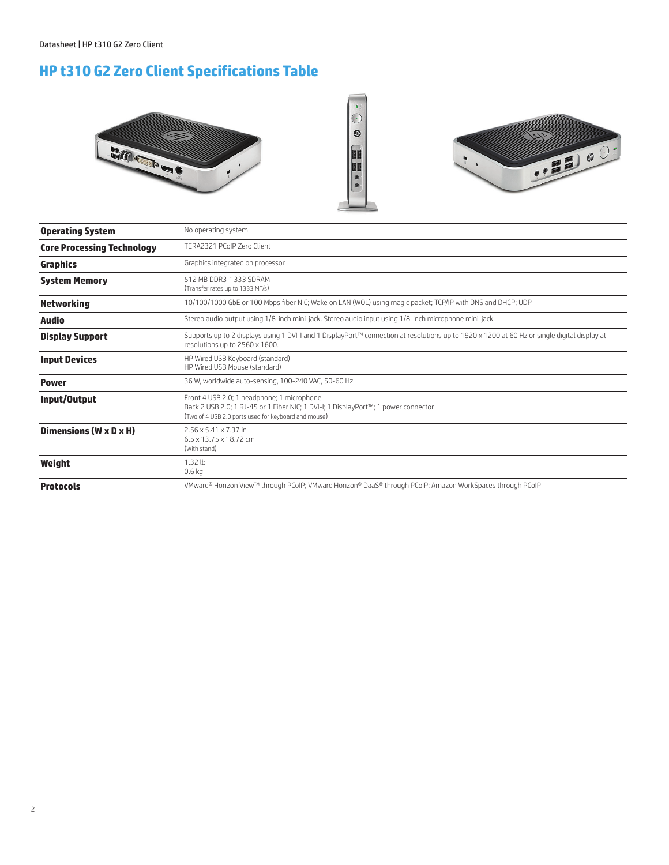## **HP t310 G2 Zero Client Specifications Table**





| <b>Operating System</b>           | No operating system                                                                                                                                                                      |
|-----------------------------------|------------------------------------------------------------------------------------------------------------------------------------------------------------------------------------------|
| <b>Core Processing Technology</b> | TERA2321 PCoIP Zero Client                                                                                                                                                               |
| <b>Graphics</b>                   | Graphics integrated on processor                                                                                                                                                         |
| <b>System Memory</b>              | 512 MB DDR3-1333 SDRAM<br>(Transfer rates up to 1333 MT/s)                                                                                                                               |
| <b>Networking</b>                 | 10/100/1000 GbE or 100 Mbps fiber NIC; Wake on LAN (WOL) using magic packet; TCP/IP with DNS and DHCP; UDP                                                                               |
| Audio                             | Stereo audio output using 1/8-inch mini-jack. Stereo audio input using 1/8-inch microphone mini-jack                                                                                     |
| <b>Display Support</b>            | Supports up to 2 displays using 1 DVI-I and 1 DisplayPort™ connection at resolutions up to 1920 x 1200 at 60 Hz or single digital display at<br>resolutions up to 2560 x 1600.           |
| <b>Input Devices</b>              | HP Wired USB Keyboard (standard)<br>HP Wired USB Mouse (standard)                                                                                                                        |
| <b>Power</b>                      | 36 W, worldwide auto-sensing, 100-240 VAC, 50-60 Hz                                                                                                                                      |
| Input/Output                      | Front 4 USB 2.0; 1 headphone; 1 microphone<br>Back 2 USB 2.0; 1 RJ-45 or 1 Fiber NIC; 1 DVI-I; 1 DisplayPort™; 1 power connector<br>(Two of 4 USB 2.0 ports used for keyboard and mouse) |
| Dimensions (W x D x H)            | $2.56 \times 5.41 \times 7.37$ in<br>$6.5 \times 13.75 \times 18.72$ cm<br>(With stand)                                                                                                  |
| Weight                            | $1.32$ lb<br>0.6 <sub>kq</sub>                                                                                                                                                           |
| <b>Protocols</b>                  | VMware® Horizon View™ through PCoIP; VMware Horizon® DaaS® through PCoIP; Amazon WorkSpaces through PCoIP                                                                                |